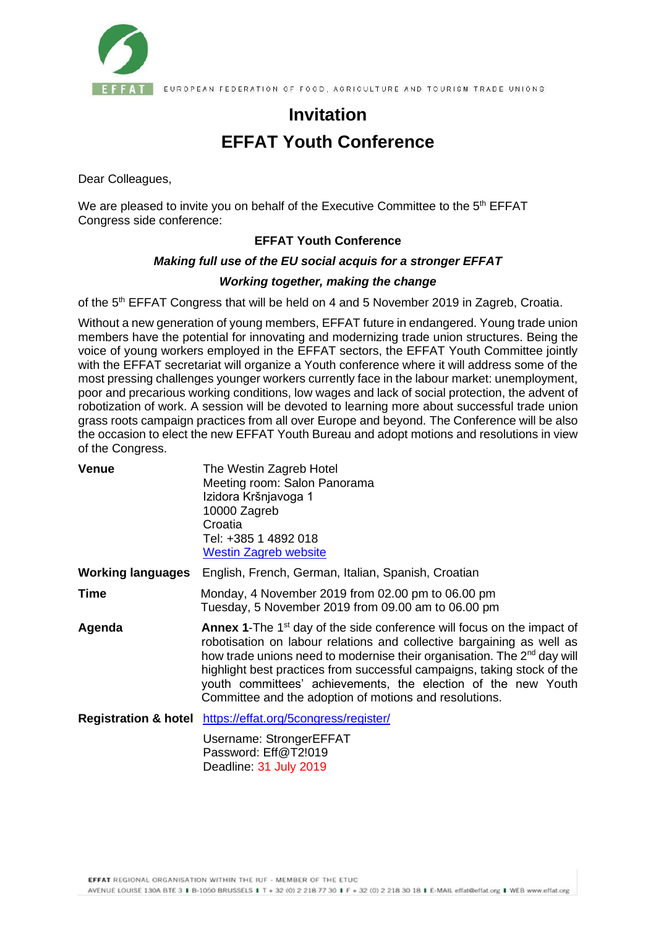

**FAT** EUROPEAN FEDERATION OF FOOD, AGRICULTURE AND TOURISM TRADE UNIONS

# **Invitation EFFAT Youth Conference**

Dear Colleagues,

We are pleased to invite you on behalf of the Executive Committee to the 5<sup>th</sup> EFFAT Congress side conference:

## **EFFAT Youth Conference**

### *Making full use of the EU social acquis for a stronger EFFAT*

### *Working together, making the change*

of the 5<sup>th</sup> EFFAT Congress that will be held on 4 and 5 November 2019 in Zagreb, Croatia.

Without a new generation of young members, EFFAT future in endangered. Young trade union members have the potential for innovating and modernizing trade union structures. Being the voice of young workers employed in the EFFAT sectors, the EFFAT Youth Committee jointly with the EFFAT secretariat will organize a Youth conference where it will address some of the most pressing challenges younger workers currently face in the labour market: unemployment, poor and precarious working conditions, low wages and lack of social protection, the advent of robotization of work. A session will be devoted to learning more about successful trade union grass roots campaign practices from all over Europe and beyond. The Conference will be also the occasion to elect the new EFFAT Youth Bureau and adopt motions and resolutions in view of the Congress.

| <b>Venue</b>             | The Westin Zagreb Hotel<br>Meeting room: Salon Panorama<br>Izidora Kršnjavoga 1<br>10000 Zagreb<br>Croatia<br>Tel: +385 1 4892 018<br><b>Westin Zagreb website</b>                                                                                                                                                                                                                                                                                  |
|--------------------------|-----------------------------------------------------------------------------------------------------------------------------------------------------------------------------------------------------------------------------------------------------------------------------------------------------------------------------------------------------------------------------------------------------------------------------------------------------|
| <b>Working languages</b> | English, French, German, Italian, Spanish, Croatian                                                                                                                                                                                                                                                                                                                                                                                                 |
| Time                     | Monday, 4 November 2019 from 02.00 pm to 06.00 pm<br>Tuesday, 5 November 2019 from 09.00 am to 06.00 pm                                                                                                                                                                                                                                                                                                                                             |
| Agenda                   | <b>Annex 1-The 1st day of the side conference will focus on the impact of</b><br>robotisation on labour relations and collective bargaining as well as<br>how trade unions need to modernise their organisation. The 2 <sup>nd</sup> day will<br>highlight best practices from successful campaigns, taking stock of the<br>youth committees' achievements, the election of the new Youth<br>Committee and the adoption of motions and resolutions. |
|                          | <b>Registration &amp; hotel</b> https://effat.org/5congress/register/                                                                                                                                                                                                                                                                                                                                                                               |
|                          | Username: StrongerEFFAT<br>$P$ accword: $Fff@T91010$                                                                                                                                                                                                                                                                                                                                                                                                |

Password: Eff@T2!019 Deadline: 31 July 2019